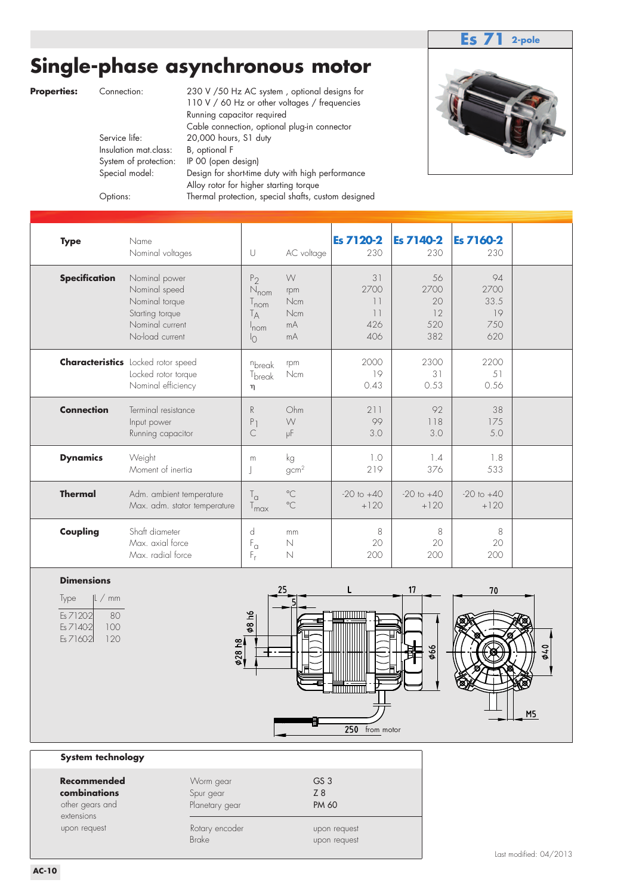### **Es 71 2-pole**

## **Single-phase asynchronous motor**

**Properties:** Connection: 230 V / 50 Hz AC system, optional designs for 110 V / 60 Hz or other voltages / frequencies Running capacitor required Cable connection, optional plug-in connector<br>Service life: 20,000 hours, S1 duty 20,000 hours, S1 duty Insulation mat.class: B, optional F System of protection: IP 00 (open design) Special model: Design for short-time duty with high performance Alloy rotor for higher starting torque Options: Thermal protection, special shafts, custom designed



| <b>Type</b>          | Name<br>Nominal voltages                                                                                  | U                                                                                                       | AC voltage                                | <b>Es 7120-2</b><br>230              | <b>Es 7140-2</b><br>230              | <b>Es 7160-2</b><br>230                |  |
|----------------------|-----------------------------------------------------------------------------------------------------------|---------------------------------------------------------------------------------------------------------|-------------------------------------------|--------------------------------------|--------------------------------------|----------------------------------------|--|
| <b>Specification</b> | Nominal power<br>Nominal speed<br>Nominal torque<br>Starting torque<br>Nominal current<br>No-load current | P <sub>2</sub><br>$N_{\text{nom}}$<br>$T_{\mathsf{nom}}$<br>T <sub>A</sub><br>$1$ nom<br>$\overline{1}$ | W<br>rpm<br><b>Ncm</b><br>Ncm<br>mA<br>mA | 31<br>2700<br>11<br>11<br>426<br>406 | 56<br>2700<br>20<br>12<br>520<br>382 | 94<br>2700<br>33.5<br>19<br>750<br>620 |  |
|                      | <b>Characteristics</b> Locked rotor speed<br>Locked rotor torque<br>Nominal efficiency                    | nbreak<br>T <sub>break</sub><br>$\eta$                                                                  | rpm<br><b>Ncm</b>                         | 2000<br>19<br>0.43                   | 2300<br>31<br>0.53                   | 2200<br>51<br>0.56                     |  |
| <b>Connection</b>    | Terminal resistance<br>Input power<br>Running capacitor                                                   | $\mathsf{R}$<br>P<br>C                                                                                  | Ohm<br>W<br>μF                            | 211<br>99<br>3.0                     | 92<br>118<br>3.0                     | 38<br>175<br>5.0                       |  |
| <b>Dynamics</b>      | Weight<br>Moment of inertia                                                                               | m                                                                                                       | kg<br>gcm <sup>2</sup>                    | 1.0<br>219                           | 1.4<br>376                           | 1.8<br>533                             |  |
| <b>Thermal</b>       | Adm. ambient temperature<br>Max. adm. stator temperature                                                  | $T_{\alpha}$<br>$T_{\text{max}}$                                                                        | $^{\circ}$ C<br>$^{\circ}$ C              | $-20$ to $+40$<br>$+120$             | $-20$ to $+40$<br>$+120$             | $-20$ to $+40$<br>$+120$               |  |
| Coupling             | Shaft diameter<br>Max. axial force<br>Max. radial force                                                   | d<br>$F_{\alpha}$<br>$F_r$                                                                              | mm<br>$\mathbb N$<br>N                    | 8<br>20<br>200                       | 8<br>20<br>200                       | 8<br>20<br>200                         |  |



| lype      | $ L \nmm$ |
|-----------|-----------|
| Es 7120-2 | 80        |
| Es 71402  | 100       |
| Es 7160-2 | 120       |



#### **System technology**

| Recommended<br>combinations<br>other gears and<br>extensions<br>upon request | Worm gear<br>Spur gear<br>Planetary gear | GS <sub>3</sub><br>Z <sup>8</sup><br><b>PM 60</b> |
|------------------------------------------------------------------------------|------------------------------------------|---------------------------------------------------|
|                                                                              | Rotary encoder<br><b>Brake</b>           | upon request<br>upon request                      |